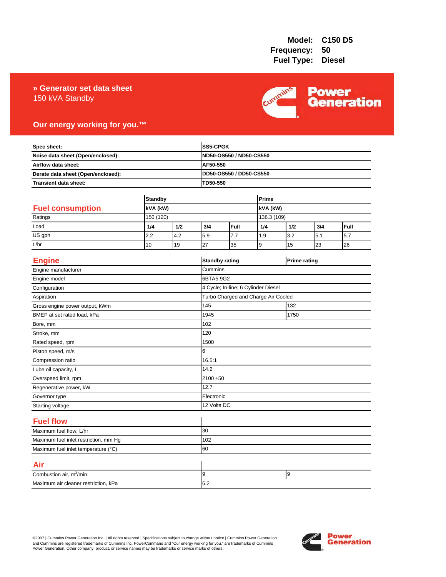### 150 kVA Standby **» Generator set data sheet**



## **Our energy working for you.™**

| Spec sheet:<br>Noise data sheet (Open/enclosed):<br>Airflow data sheet:<br>Derate data sheet (Open/enclosed): |                |     |           | <b>SS5-CPGK</b><br>ND50-OS550 / ND50-CS550<br>AF50-550 |             |     |                     |      |
|---------------------------------------------------------------------------------------------------------------|----------------|-----|-----------|--------------------------------------------------------|-------------|-----|---------------------|------|
|                                                                                                               |                |     |           |                                                        |             |     |                     |      |
|                                                                                                               |                |     |           |                                                        |             |     |                     |      |
|                                                                                                               |                |     |           | DD50-OS550 / DD50-CS550                                |             |     |                     |      |
| Transient data sheet:                                                                                         |                |     | TD50-550  |                                                        |             |     |                     |      |
|                                                                                                               |                |     |           |                                                        | Prime       |     |                     |      |
|                                                                                                               | <b>Standby</b> |     |           |                                                        |             |     |                     |      |
| <b>Fuel consumption</b>                                                                                       | kVA (kW)       |     |           |                                                        | kVA (kW)    |     |                     |      |
| Ratings                                                                                                       | 150 (120)      |     |           |                                                        | 136.3 (109) |     |                     |      |
| Load                                                                                                          | 1/4            | 1/2 | 3/4       | Full                                                   | 1/4         | 1/2 | 3/4                 | Full |
| US gph                                                                                                        | 2.2            | 4.2 | 5.9       | 7.7                                                    | 1.9         | 3.2 | 5.1                 | 5.7  |
| L/hr                                                                                                          | 10             | 19  | 27        | 35                                                     | 9           | 15  | 23                  | 26   |
| <b>Engine</b>                                                                                                 |                |     |           | <b>Standby rating</b>                                  |             |     | <b>Prime rating</b> |      |
| Engine manufacturer                                                                                           |                |     | Cummins   |                                                        |             |     |                     |      |
| Engine model                                                                                                  |                |     | 6BTA5.9G2 |                                                        |             |     |                     |      |
| Configuration                                                                                                 |                |     |           | 4 Cycle; In-line; 6 Cylinder Diesel                    |             |     |                     |      |
| Aspiration                                                                                                    |                |     |           | Turbo Charged and Charge Air Cooled                    |             |     |                     |      |
| Gross engine power output, kWm                                                                                |                |     | 145       | 132                                                    |             |     |                     |      |
| BMEP at set rated load, kPa                                                                                   |                |     | 1945      | 1750                                                   |             |     |                     |      |
| Bore, mm                                                                                                      |                |     | 102       |                                                        |             |     |                     |      |
| Stroke, mm                                                                                                    |                |     | 120       |                                                        |             |     |                     |      |
| Rated speed, rpm                                                                                              |                |     | 1500      |                                                        |             |     |                     |      |
| Piston speed, m/s                                                                                             |                |     | 6         |                                                        |             |     |                     |      |
| Compression ratio                                                                                             |                |     | 16.5:1    |                                                        |             |     |                     |      |
| Lube oil capacity, L                                                                                          |                |     | 14.2      |                                                        |             |     |                     |      |
| Overspeed limit, rpm                                                                                          |                |     |           | 2100 ±50                                               |             |     |                     |      |
| Regenerative power, kW                                                                                        |                |     | 12.7      |                                                        |             |     |                     |      |
| Governor type                                                                                                 |                |     |           | Electronic                                             |             |     |                     |      |
| Starting voltage                                                                                              |                |     |           | 12 Volts DC                                            |             |     |                     |      |
| <b>Fuel flow</b>                                                                                              |                |     |           |                                                        |             |     |                     |      |
| Maximum fuel flow, L/hr                                                                                       |                |     | 30        |                                                        |             |     |                     |      |
| Maximum fuel inlet restriction, mm Hg                                                                         |                |     | 102       |                                                        |             |     |                     |      |
| Maximum fuel inlet temperature (°C)                                                                           |                | 60  |           |                                                        |             |     |                     |      |
| Air                                                                                                           |                |     |           |                                                        |             |     |                     |      |
| Combustion air, m <sup>3</sup> /min                                                                           |                |     | 9         |                                                        |             | 9   |                     |      |
| Maximum air cleaner restriction, kPa                                                                          |                |     | 6.2       |                                                        |             |     |                     |      |

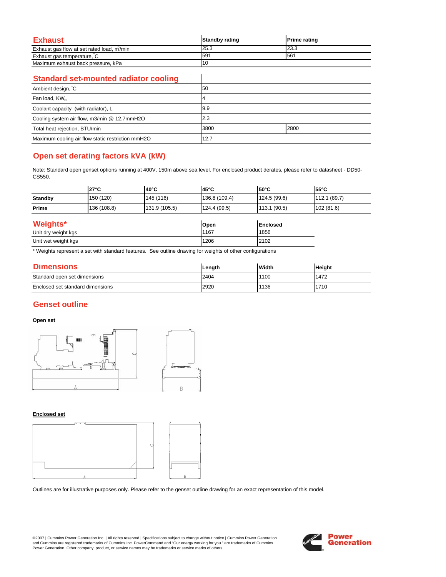| Exhaust                                   | <b>Standby rating</b> | <b>Prime rating</b> |
|-------------------------------------------|-----------------------|---------------------|
| Exhaust gas flow at set rated load, m/min | 25.3                  | 23.3                |
| Exhaust gas temperature, C                | 591                   | 561                 |
| Maximum exhaust back pressure, kPa        |                       |                     |

 $\overline{\phantom{a}}$ 

### **Standard set-mounted radiator cooling**

| Ambient design, C                                 | 50           |  |
|---------------------------------------------------|--------------|--|
| Fan load, KW <sub>m</sub>                         |              |  |
| Coolant capacity (with radiator), L               | 9.9          |  |
| Cooling system air flow, m3/min @ 12.7mmH2O       | 2.3          |  |
| Total heat rejection, BTU/min                     | 2800<br>3800 |  |
| Maximum cooling air flow static restriction mmH2O | 12.7         |  |

# **Open set derating factors kVA (kW)**

Note: Standard open genset options running at 400V, 150m above sea level. For enclosed product derates, please refer to datasheet - DD50- CS550.

|                | $27^{\circ}$ C | l40°C         | l45°C         | l50°C        | $55^{\circ}$ C |
|----------------|----------------|---------------|---------------|--------------|----------------|
| <b>Standby</b> | 150 (120)      | 145(116)      | 136.8 (109.4) | 124.5 (99.6) | 112.1 (89.7)   |
| Prime          | 136 (108.8)    | 131.9 (105.5) | 124.4 (99.5)  | 113.1 (90.5) | 102 (81.6)     |
|                |                |               |               |              |                |

| Weights*            | Open | <b>Enclosed</b> |
|---------------------|------|-----------------|
| Unit dry weight kgs | 1167 | 1856            |
| Unit wet weight kgs | 1206 | 2102            |

\* Weights represent a set with standard features. See outline drawing for weights of other configurations

| <b>Dimensions</b>                | Lenath | <b>Width</b> | <b>Height</b> |
|----------------------------------|--------|--------------|---------------|
| Standard open set dimensions     | 2404   | 1100         | 1472          |
| Enclosed set standard dimensions | 2920   | 136          | 1710          |

# **Genset outline**

### **Open set**



#### **Enclosed set**



Outlines are for illustrative purposes only. Please refer to the genset outline drawing for an exact representation of this model.

©2007 | Cummins Power Generation Inc. | All rights reserved | Specifications subject to change without notice | Cummins Power Generation and Cummins are registered trademarks of Cummins Inc. PowerCommand and "Our energy working for you." are trademarks of Cummins<br>Power Generation. Other company, product, or service names may be trademarks or service marks o